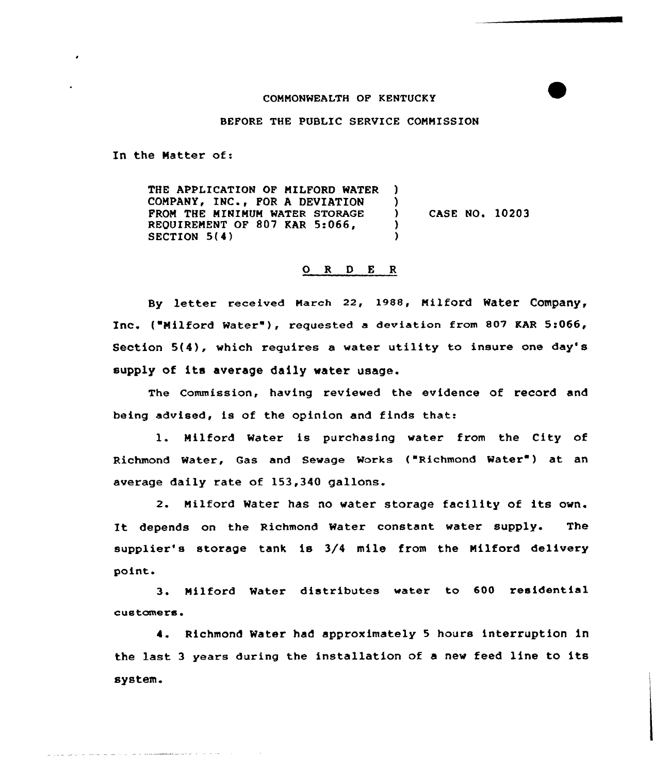## COMMONWEALTH OF KENTUCKY

BEFORE THE PUBLIC SERVICE COMMISSION

In the Natter of:

المحاورة والمستشهد والمتحدث والمتحدث والمتحدث

THE APPLICATION OF MILFORD WATER COMPANY, INC., FOR A DEVIATION PROM THE MINIMUM WATER STORAGE REQUIREMENT OF 807 KAR 5:066, SECTION 5(4) ) ) ) )

) CASE NO. 10203

## ORDER

By letter received March 22, 1988, Milford Water Company, Inc. ("Milford Water"), requested a deviation from 807 KAR 5:066, Section 5(4), which requires a water utility to insure one day' supply of its average daily water usage.

The Commission, having reviewed the evidence of record and being advised, is of the opinion and finds that:

1. Milford Water is purchasing water from the City of Richmond Water, Gas and Sewage Works ("Richmond Water") at an average daily rate of 153,340 gallons.

2. Milford Water has no water storage facility of its own. It depends on the Richmond Water constant water supply. The supplier's storage tank is 3/4 mile from the Nilford delivery point.

3. Nilford Water distributes water to 600 residential customers'

4. Richmond Water had approximately 5 hours interruption in the last <sup>3</sup> years during the installation of <sup>a</sup> new feed line to its system <sup>~</sup>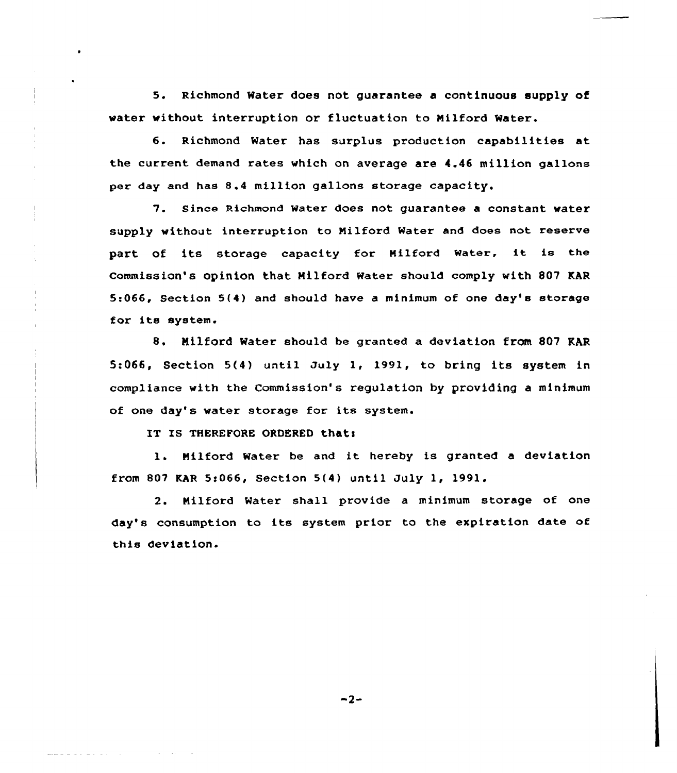<sup>5</sup> <sup>~</sup> Richmond Water does not guarantee a continuous supply of water without interruption or fluctuation to Milford Water.

6. Richmond Water has surplus production capabilities at the current demand rates which on average are 4.46 million gallons per day and has 8.4 million gallons storage capacity.

7. since Richmond water does not guarantee <sup>a</sup> constant water supply without interruption to Nilford Mater and does not reserve part of its storage capacity for Milford Water, it is the Commission's Opinion that Nilford Water should comply with 807 KAR 5:066, Section 5(4) and should have a minimum of one day's storage for its system.

8. Milford Water should be granted a deviation from 807 KAR 5:066, Section 5(4) until July 1, 1991, to bring its system in compliance with the Commission's regulation by providing a minimum of one day's water storage for its system.

IT IS THEREFORE ORDERED that:

1. Milford Water be and it hereby is granted a deviation from 807 KAR 5:066, Section 5(4) until July 1, 1991.

2. Nilford Water shall provide a minimum storage of one day's consumption to its system prior to the expiration date of this deviation.

 $-2-$